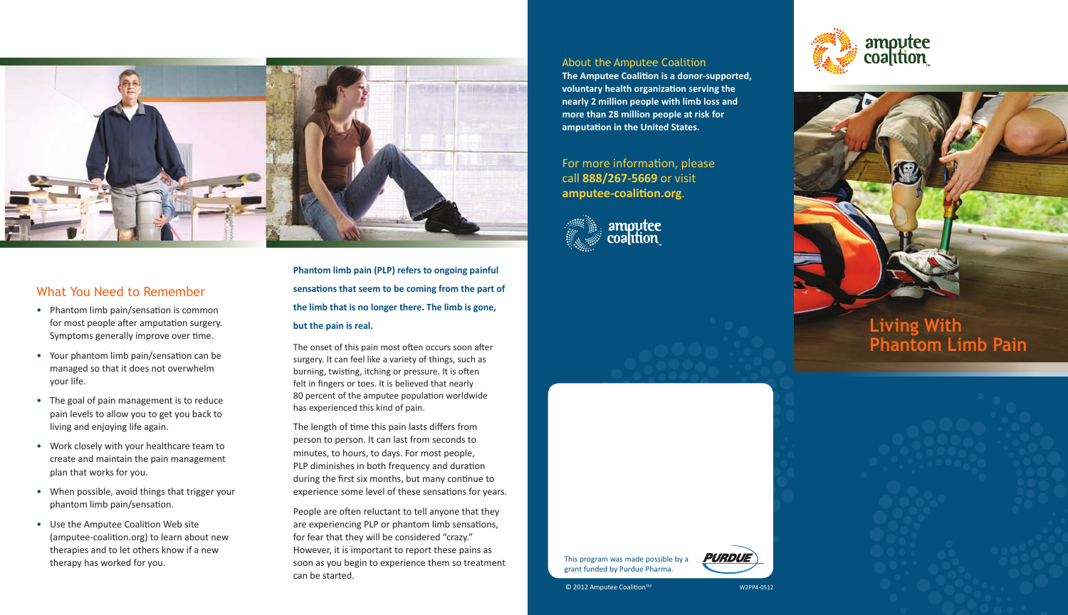

#### What You Need to Remember

- Phantom limb pain/sensation is common for most people after amputation surgery. Symptoms generally improve over time.
- Your phantom limb pain/sensation can be managed so that it does not overwhelm your life.
- The goal of pain management is to reduce pain levels to allow you to get you back to living and enjoying life again.
- Work closely with your healthcare team to create and maintain the pain management plan that works for you.
- When possible, avoid things that trigger your phantom limb pain/sensation.
- Use the Amputee Coalition Web site (amputee-coalition.org) to learn about new therapies and to let others know if a new therapy has worked for you.

The onset of this pain most often occurs soon after surgery. It can feel like a variety of things, such as burning, twisting, itching or pressure. It is often felt in fingers or toes. It is believed that nearly 80 percent of the amputee population worldwide has experienced this kind of pain.

The length of time this pain lasts differs from person to person. It can last from seconds to minutes, to hours, to days. For most people, PLP diminishes in both frequency and duration during the first six months, but many continue to experience some level of these sensations for years.

# **Living With Phantom Limb Pain**

**Phantom limb pain (PLP) refers to ongoing painful**  sensations that seem to be coming from the part of **the limb that is no longer there. The limb is gone, but the pain is real.** 

People are often reluctant to tell anyone that they are experiencing PLP or phantom limb sensations, for fear that they will be considered "crazy." However, it is important to report these pains as soon as you begin to experience them so treatment can be started.

About the Amputee Coalition

**The Amputee Coalition is a donor-supported,** voluntary health organization serving the **nearly 2 million people with limb loss and more than 28 million people at risk for**  amputation in the United States.

For more information, please call **888/267-5669** or visit amputee-coalition.org.



This program was made possible by a grant funded by Purdue Pharma.